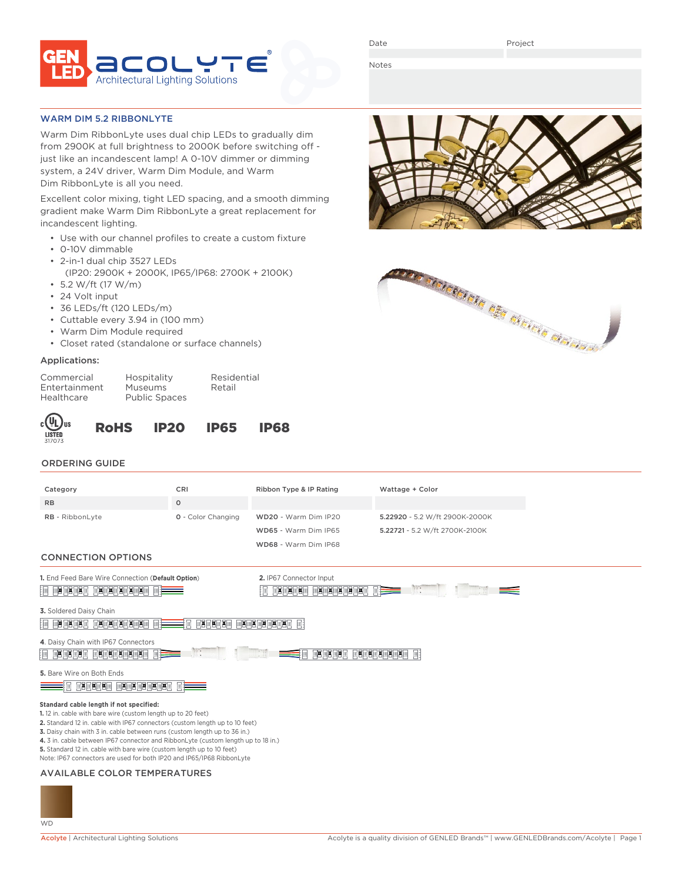

Date

Notes

#### WARM DIM 5.2 RIBBONLYTE

Warm Dim RibbonLyte uses dual chip LEDs to gradually dim from 2900K at full brightness to 2000K before switching off just like an incandescent lamp! A 0-10V dimmer or dimming system, a 24V driver, Warm Dim Module, and Warm Dim RibbonLyte is all you need.

Excellent color mixing, tight LED spacing, and a smooth dimming gradient make Warm Dim RibbonLyte a great replacement for incandescent lighting.

- Use with our channel profiles to create a custom fixture
- 0-10V dimmable
- 2-in-1 dual chip 3527 LEDs
- (IP20: 2900K + 2000K, IP65/IP68: 2700K + 2100K)
- 5.2 W/ft (17 W/m)
- 24 Volt input
- 36 LEDs/ft (120 LEDs/m)
- Cuttable every 3.94 in (100 mm)
- Warm Dim Module required
- Closet rated (standalone or surface channels)

# Applications:

| Hospitali |
|-----------|
| Museums   |
| Public Sr |
|           |

ity Residential Retail haces

| )us | <b>RoHS</b> | <b>IP20</b> | <b>IP65</b> | <b>IP68</b> |
|-----|-------------|-------------|-------------|-------------|
|     |             |             |             |             |
|     |             |             |             |             |

# ORDERING GUIDE

| CRI<br>Ribbon Type & IP Rating<br>Wattage + Color<br>Category<br>$\circ$<br><b>RB</b><br>RB - RibbonLyte<br>0 - Color Changing<br>WD20 - Warm Dim IP20<br>5.22920 - 5.2 W/ft 2900K-2000K<br>WD65 - Warm Dim IP65<br>5.22721 - 5.2 W/ft 2700K-2100K |
|----------------------------------------------------------------------------------------------------------------------------------------------------------------------------------------------------------------------------------------------------|
|                                                                                                                                                                                                                                                    |
|                                                                                                                                                                                                                                                    |
|                                                                                                                                                                                                                                                    |
|                                                                                                                                                                                                                                                    |
|                                                                                                                                                                                                                                                    |
| WD68 - Warm Dim IP68                                                                                                                                                                                                                               |
| <b>CONNECTION OPTIONS</b>                                                                                                                                                                                                                          |
| 1. End Feed Bare Wire Connection (Default Option)<br>2. IP67 Connector Input                                                                                                                                                                       |
| 20090303030303030<br>网络阿多阿多阿多阿多阿<br><b>FREE REE</b>                                                                                                                                                                                                |
| 3. Soldered Daisy Chain                                                                                                                                                                                                                            |
| $\Box$ x $\Box$ x $\Box$ x $\Box$ x $\Box$<br><b>BEER BEER BEE</b><br>网络网络网络网<br>ЩB.<br>매폭비 폭비                                                                                                                                                     |
| 4. Daisy Chain with IP67 Connectors                                                                                                                                                                                                                |
| EN EN ENSEMBEL EISENSEIN EE<br>$\overline{\mathbb{R}}$ 8 $\overline{\mathbb{R}}$ 8 $\overline{\mathbb{R}}$ 8 $\overline{\mathbb{R}}$                                                                                                               |
| 5. Bare Wire on Both Ends                                                                                                                                                                                                                          |
| $\overline{a}$ zezeze ezezezezeze e $\overline{=}$                                                                                                                                                                                                 |
|                                                                                                                                                                                                                                                    |
| Standard cable length if not specified:                                                                                                                                                                                                            |
| 1.12 in. cable with bare wire (custom length up to 20 feet)                                                                                                                                                                                        |
| 2. Standard 12 in. cable with IP67 connectors (custom length up to 10 feet)<br>3. Daisy chain with 3 in. cable between runs (custom length up to 36 in.)                                                                                           |
| 4. 3 in. cable between IP67 connector and RibbonLyte (custom length up to 18 in.)                                                                                                                                                                  |
| 5. Standard 12 in. cable with bare wire (custom length up to 10 feet)                                                                                                                                                                              |
| Note: IP67 connectors are used for both IP20 and IP65/IP68 RibbonLyte                                                                                                                                                                              |

## AVAILABLE COLOR TEMPERATURES





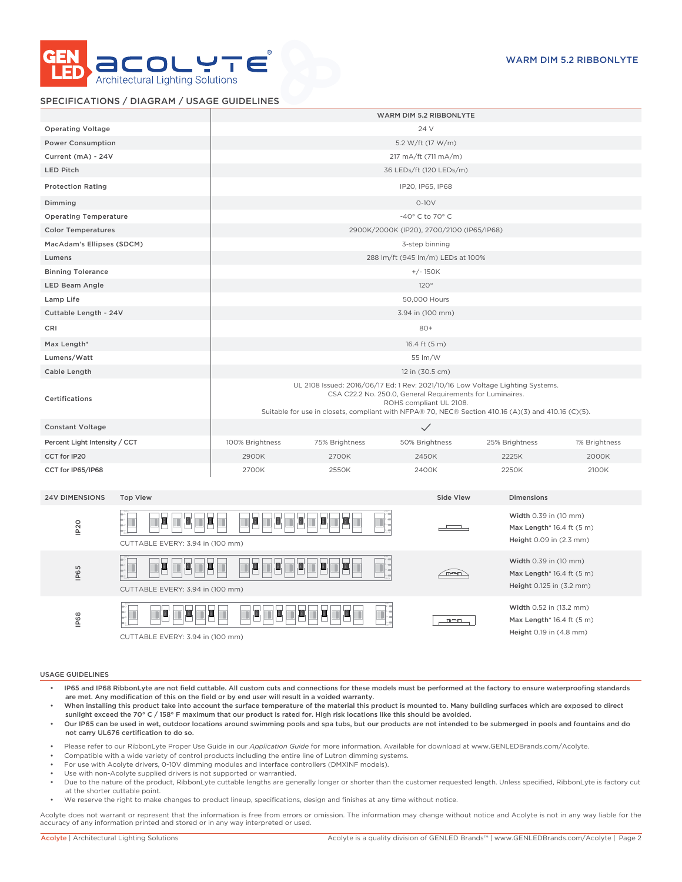

### SPECIFICATIONS / DIAGRAM / USAGE GUIDELINES

|                                          |                                                                                                                                                                                                                                                                               |                | WARM DIM 5.2 RIBBONLYTE                   |                   |               |
|------------------------------------------|-------------------------------------------------------------------------------------------------------------------------------------------------------------------------------------------------------------------------------------------------------------------------------|----------------|-------------------------------------------|-------------------|---------------|
| <b>Operating Voltage</b>                 | 24 V                                                                                                                                                                                                                                                                          |                |                                           |                   |               |
| <b>Power Consumption</b>                 |                                                                                                                                                                                                                                                                               |                | 5.2 W/ft (17 W/m)                         |                   |               |
| Current (mA) - 24V                       | 217 mA/ft (711 mA/m)                                                                                                                                                                                                                                                          |                |                                           |                   |               |
| <b>LED Pitch</b>                         |                                                                                                                                                                                                                                                                               |                | 36 LEDs/ft (120 LEDs/m)                   |                   |               |
| <b>Protection Rating</b>                 |                                                                                                                                                                                                                                                                               |                | IP20, IP65, IP68                          |                   |               |
| Dimming                                  |                                                                                                                                                                                                                                                                               |                | $0-10V$                                   |                   |               |
| <b>Operating Temperature</b>             |                                                                                                                                                                                                                                                                               |                | -40° C to 70° C                           |                   |               |
| <b>Color Temperatures</b>                |                                                                                                                                                                                                                                                                               |                | 2900K/2000K (IP20), 2700/2100 (IP65/IP68) |                   |               |
| MacAdam's Ellipses (SDCM)                |                                                                                                                                                                                                                                                                               |                | 3-step binning                            |                   |               |
| Lumens                                   |                                                                                                                                                                                                                                                                               |                | 288 lm/ft (945 lm/m) LEDs at 100%         |                   |               |
| <b>Binning Tolerance</b>                 |                                                                                                                                                                                                                                                                               |                | $+/- 150K$                                |                   |               |
| LED Beam Angle                           |                                                                                                                                                                                                                                                                               |                | 120°                                      |                   |               |
| Lamp Life                                |                                                                                                                                                                                                                                                                               |                | 50,000 Hours                              |                   |               |
| Cuttable Length - 24V                    |                                                                                                                                                                                                                                                                               |                | 3.94 in (100 mm)                          |                   |               |
| CRI                                      |                                                                                                                                                                                                                                                                               |                | $80+$                                     |                   |               |
| Max Length*                              |                                                                                                                                                                                                                                                                               |                | 16.4 ft (5 m)                             |                   |               |
| Lumens/Watt                              |                                                                                                                                                                                                                                                                               |                | 55 lm/W                                   |                   |               |
| Cable Length                             |                                                                                                                                                                                                                                                                               |                | 12 in (30.5 cm)                           |                   |               |
| <b>Certifications</b>                    | UL 2108 Issued: 2016/06/17 Ed: 1 Rev: 2021/10/16 Low Voltage Lighting Systems.<br>CSA C22.2 No. 250.0, General Requirements for Luminaires.<br>ROHS compliant UL 2108.<br>Suitable for use in closets, compliant with NFPA® 70, NEC® Section 410.16 (A)(3) and 410.16 (C)(5). |                |                                           |                   |               |
| <b>Constant Voltage</b>                  |                                                                                                                                                                                                                                                                               |                | $\checkmark$                              |                   |               |
| Percent Light Intensity / CCT            | 100% Brightness                                                                                                                                                                                                                                                               | 75% Brightness | 50% Brightness                            | 25% Brightness    | 1% Brightness |
| CCT for IP20                             | 2900K                                                                                                                                                                                                                                                                         | 2700K          | 2450K                                     | 2225K             | 2000K         |
| CCT for IP65/IP68                        | 2700K                                                                                                                                                                                                                                                                         | 2550K          | 2400K                                     | 2250K             | 2100K         |
| <b>24V DIMENSIONS</b><br><b>Top View</b> |                                                                                                                                                                                                                                                                               |                | Side View                                 | <b>Dimensions</b> |               |



#### USAGE GUIDELINES

- IP65 and IP68 RibbonLyte are not field cuttable. All custom cuts and connections for these models must be performed at the factory to ensure waterproofing standards are met. Any modification of this on the field or by end user will result in a voided warranty.
- When installing this product take into account the surface temperature of the material this product is mounted to. Many building surfaces which are exposed to direct sunlight exceed the 70° C / 158° F maximum that our product is rated for. High risk locations like this should be avoided.
- Our IP65 can be used in wet, outdoor locations around swimming pools and spa tubs, but our products are not intended to be submerged in pools and fountains and do not carry UL676 certification to do so.
- Please refer to our RibbonLyte Proper Use Guide in our *Application Guide* for more information. Available for download at www.GENLEDBrands.com/Acolyte.
- Compatible with a wide variety of control products including the entire line of Lutron dimming systems.
- For use with Acolyte drivers, 0-10V dimming modules and interface controllers (DMXINF models).
- Use with non-Acolyte supplied drivers is not supported or warrantied.
- Due to the nature of the product, RibbonLyte cuttable lengths are generally longer or shorter than the customer requested length. Unless specified, RibbonLyte is factory cut at the shorter cuttable point.
- We reserve the right to make changes to product lineup, specifications, design and finishes at any time without notice.

Acolyte does not warrant or represent that the information is free from errors or omission. The information may change without notice and Acolyte is not in any way liable for the accuracy of any information printed and stored or in any way interpreted or used.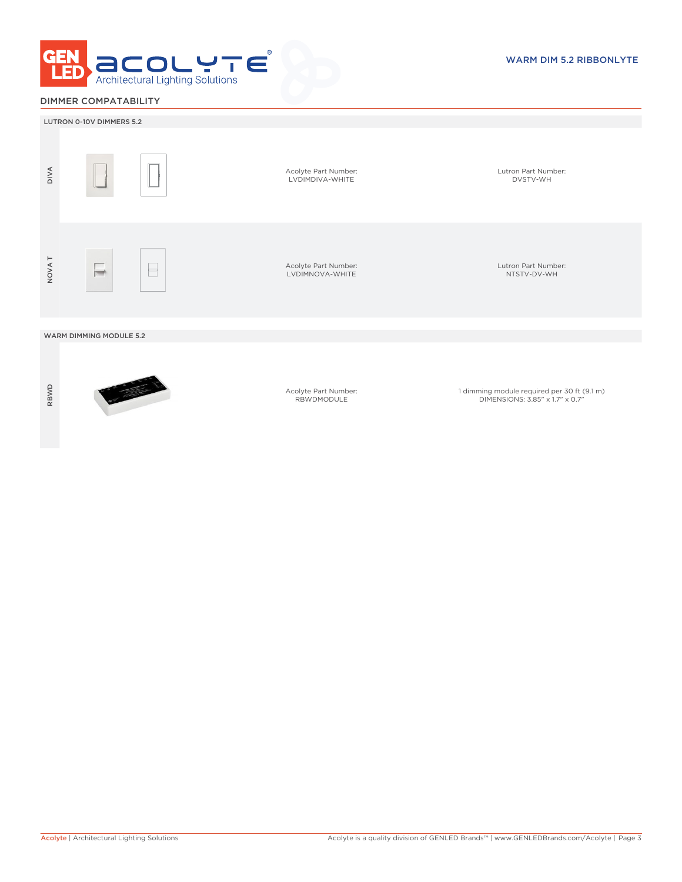

# DIMMER COMPATABILITY



RBWD



Acolyte Part Number: RBWDMODULE

1 dimming module required per 30 ft (9.1 m) DIMENSIONS: 3.85" x 1.7" x 0.7"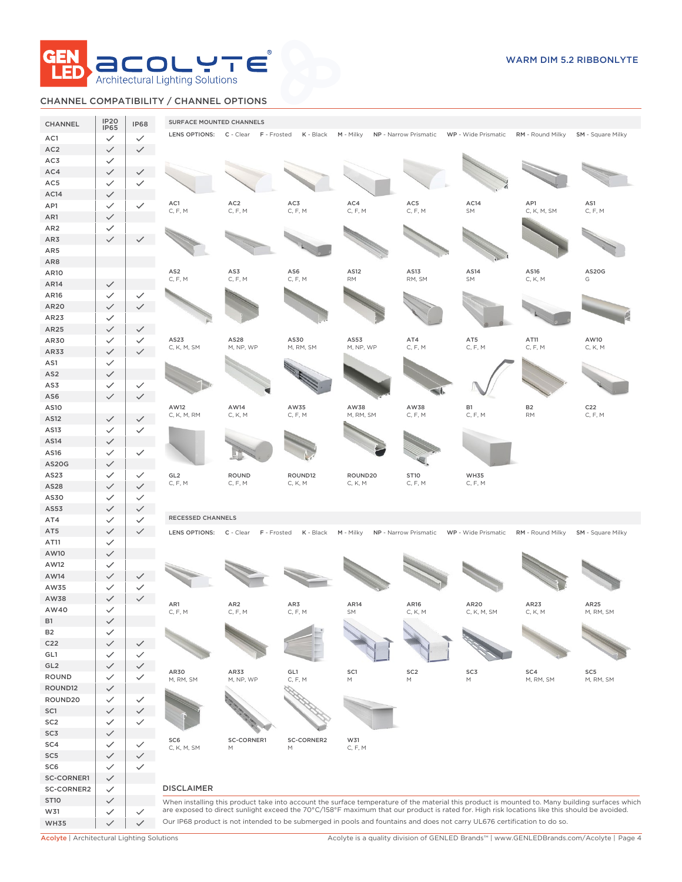

# CHANNEL COMPATIBILITY / CHANNEL OPTIONS

| CHANNEL            | <b>IP20</b>                  | <b>IP68</b>                  | SURFACE MOUNTED CHANNELS |                                     |                                                                                                            |                                                                                                                                                                                                                                                                          |                      |             |                    |                                                                                                                                                 |
|--------------------|------------------------------|------------------------------|--------------------------|-------------------------------------|------------------------------------------------------------------------------------------------------------|--------------------------------------------------------------------------------------------------------------------------------------------------------------------------------------------------------------------------------------------------------------------------|----------------------|-------------|--------------------|-------------------------------------------------------------------------------------------------------------------------------------------------|
| AC1                | <b>IP65</b><br>$\checkmark$  | $\checkmark$                 |                          | LENS OPTIONS: C - Clear F - Frosted | K - Black                                                                                                  | M - Milky NP - Narrow Prismatic WP - Wide Prismatic RM - Round Milky SM - Square Milky                                                                                                                                                                                   |                      |             |                    |                                                                                                                                                 |
| AC <sub>2</sub>    | $\checkmark$                 | $\checkmark$                 |                          |                                     |                                                                                                            |                                                                                                                                                                                                                                                                          |                      |             |                    |                                                                                                                                                 |
| AC3                | $\checkmark$                 |                              |                          |                                     |                                                                                                            |                                                                                                                                                                                                                                                                          |                      |             |                    |                                                                                                                                                 |
| AC4                | $\checkmark$                 |                              |                          |                                     |                                                                                                            |                                                                                                                                                                                                                                                                          |                      |             |                    |                                                                                                                                                 |
| AC5                | $\checkmark$                 |                              |                          |                                     |                                                                                                            |                                                                                                                                                                                                                                                                          |                      |             |                    |                                                                                                                                                 |
| AC14               | $\checkmark$                 |                              |                          |                                     |                                                                                                            |                                                                                                                                                                                                                                                                          |                      |             |                    |                                                                                                                                                 |
| AP1                | $\checkmark$                 | $\checkmark$                 | AC1<br>C, F, M           | AC <sub>2</sub><br>C, F, M          | AC3<br>C, F, M                                                                                             | AC4<br>C, F, M                                                                                                                                                                                                                                                           | $AC5\,$<br>C, F, M   | AC14<br>SM  | AP1<br>C, K, M, SM | AS1<br>C, F, M                                                                                                                                  |
| AR1                | $\checkmark$                 |                              |                          |                                     |                                                                                                            |                                                                                                                                                                                                                                                                          |                      |             |                    |                                                                                                                                                 |
| AR <sub>2</sub>    | $\checkmark$                 |                              |                          |                                     |                                                                                                            |                                                                                                                                                                                                                                                                          |                      |             |                    |                                                                                                                                                 |
| AR3                | $\checkmark$                 |                              |                          |                                     |                                                                                                            |                                                                                                                                                                                                                                                                          |                      |             |                    |                                                                                                                                                 |
| AR5<br>AR8         |                              |                              |                          |                                     |                                                                                                            |                                                                                                                                                                                                                                                                          |                      |             |                    |                                                                                                                                                 |
| <b>AR10</b>        |                              |                              | AS <sub>2</sub>          | AS3                                 | AS6                                                                                                        | AS12                                                                                                                                                                                                                                                                     | AS13                 | AS14        | AS16               | AS20G                                                                                                                                           |
| AR14               | $\checkmark$                 |                              | C, F, M                  | C, F, M                             | C, F, M                                                                                                    | <b>RM</b>                                                                                                                                                                                                                                                                | RM, SM               | SM          | C, K, M            | G                                                                                                                                               |
| AR16               | $\checkmark$                 | $\checkmark$                 |                          |                                     |                                                                                                            |                                                                                                                                                                                                                                                                          |                      |             |                    |                                                                                                                                                 |
| AR20               | $\checkmark$                 |                              |                          |                                     |                                                                                                            |                                                                                                                                                                                                                                                                          |                      |             |                    |                                                                                                                                                 |
| AR23               | $\checkmark$                 |                              |                          |                                     |                                                                                                            |                                                                                                                                                                                                                                                                          |                      |             |                    |                                                                                                                                                 |
| AR25               | $\checkmark$                 | $\checkmark$                 |                          |                                     |                                                                                                            |                                                                                                                                                                                                                                                                          |                      |             |                    |                                                                                                                                                 |
| AR30               | $\checkmark$                 | $\checkmark$                 | AS23                     | AS28                                | AS30                                                                                                       | AS53                                                                                                                                                                                                                                                                     | AT4                  | AT5         | AT11               | AW10                                                                                                                                            |
| AR33               | $\checkmark$                 | $\checkmark$                 | C, K, M, SM              | M, NP, WP                           | M, RM, SM                                                                                                  | M, NP, WP                                                                                                                                                                                                                                                                | C, F, M              | C, F, M     | C, F, M            | C, K, M                                                                                                                                         |
| AS1                | $\checkmark$                 |                              |                          |                                     |                                                                                                            |                                                                                                                                                                                                                                                                          |                      |             |                    |                                                                                                                                                 |
| AS <sub>2</sub>    | $\checkmark$                 |                              |                          |                                     |                                                                                                            |                                                                                                                                                                                                                                                                          |                      |             |                    |                                                                                                                                                 |
| AS3                | $\checkmark$                 | ✓                            |                          |                                     |                                                                                                            |                                                                                                                                                                                                                                                                          |                      |             |                    |                                                                                                                                                 |
| AS6                | $\checkmark$                 | ✓                            | AW12                     | AW14                                | AW35                                                                                                       | AW38                                                                                                                                                                                                                                                                     | AW38                 | <b>B1</b>   | B <sub>2</sub>     | C <sub>22</sub>                                                                                                                                 |
| AS10<br>AS12       |                              | $\checkmark$                 | C, K, M, RM              | C, K, M                             | C, F, M                                                                                                    | M, RM, SM                                                                                                                                                                                                                                                                | C, F, M              | C, F, M     | <b>RM</b>          | C, F, M                                                                                                                                         |
| AS13               | $\checkmark$<br>$\checkmark$ | $\checkmark$                 |                          |                                     |                                                                                                            |                                                                                                                                                                                                                                                                          |                      |             |                    |                                                                                                                                                 |
| AS14               | $\checkmark$                 |                              |                          |                                     |                                                                                                            |                                                                                                                                                                                                                                                                          |                      |             |                    |                                                                                                                                                 |
| AS16               | $\checkmark$                 | $\checkmark$                 |                          |                                     |                                                                                                            |                                                                                                                                                                                                                                                                          |                      |             |                    |                                                                                                                                                 |
| <b>AS20G</b>       | $\checkmark$                 |                              |                          |                                     |                                                                                                            |                                                                                                                                                                                                                                                                          |                      |             |                    |                                                                                                                                                 |
| AS23               | $\checkmark$                 | $\checkmark$                 | GL <sub>2</sub>          | <b>ROUND</b>                        | ROUND12                                                                                                    | ROUND20                                                                                                                                                                                                                                                                  | ST10                 | <b>WH35</b> |                    |                                                                                                                                                 |
| AS28               | $\checkmark$                 | $\checkmark$                 | C, F, M                  | C, F, M                             | C, K, M                                                                                                    |                                                                                                                                                                                                                                                                          | C, F, M              | C, F, M     |                    |                                                                                                                                                 |
|                    |                              |                              |                          |                                     |                                                                                                            | C, K, M                                                                                                                                                                                                                                                                  |                      |             |                    |                                                                                                                                                 |
| AS30               | $\checkmark$                 | $\checkmark$                 |                          |                                     |                                                                                                            |                                                                                                                                                                                                                                                                          |                      |             |                    |                                                                                                                                                 |
| AS53               | $\checkmark$                 | $\checkmark$                 |                          |                                     |                                                                                                            |                                                                                                                                                                                                                                                                          |                      |             |                    |                                                                                                                                                 |
| AT4                | $\checkmark$                 | $\checkmark$                 | <b>RECESSED CHANNELS</b> |                                     |                                                                                                            |                                                                                                                                                                                                                                                                          |                      |             |                    |                                                                                                                                                 |
| AT5                | $\checkmark$                 | $\checkmark$                 |                          | LENS OPTIONS: C - Clear F - Frosted | K - Black                                                                                                  | M - Milky NP - Narrow Prismatic WP - Wide Prismatic                                                                                                                                                                                                                      |                      |             | RM - Round Milky   | <b>SM</b> - Square Milky                                                                                                                        |
| AT11               | $\checkmark$                 |                              |                          |                                     |                                                                                                            |                                                                                                                                                                                                                                                                          |                      |             |                    |                                                                                                                                                 |
| AW10               | $\checkmark$                 |                              |                          |                                     |                                                                                                            |                                                                                                                                                                                                                                                                          |                      |             |                    |                                                                                                                                                 |
| AW12               | $\checkmark$                 |                              |                          |                                     |                                                                                                            |                                                                                                                                                                                                                                                                          |                      |             |                    |                                                                                                                                                 |
| AW14               | $\checkmark$                 |                              |                          |                                     |                                                                                                            |                                                                                                                                                                                                                                                                          |                      |             |                    |                                                                                                                                                 |
| AW35               | $\checkmark$                 | ✓<br>$\checkmark$            |                          |                                     |                                                                                                            |                                                                                                                                                                                                                                                                          |                      |             |                    |                                                                                                                                                 |
| AW38<br>AW40       | $\checkmark$                 |                              | AR1                      | AR <sub>2</sub>                     | AR3                                                                                                        | AR14                                                                                                                                                                                                                                                                     | AR <sub>16</sub>     | AR20        | AR23               | AR25                                                                                                                                            |
| B <sub>1</sub>     | $\checkmark$<br>$\checkmark$ |                              | C, F, M                  | C, F, M                             | C, F, M                                                                                                    | <b>SM</b>                                                                                                                                                                                                                                                                | C, K, M              | C, K, M, SM | C, K, M            | M, RM, SM                                                                                                                                       |
| <b>B2</b>          | $\checkmark$                 |                              |                          |                                     |                                                                                                            |                                                                                                                                                                                                                                                                          |                      |             |                    |                                                                                                                                                 |
| C <sub>22</sub>    | $\checkmark$                 | $\checkmark$                 |                          |                                     |                                                                                                            |                                                                                                                                                                                                                                                                          |                      |             |                    |                                                                                                                                                 |
| GL1                | $\checkmark$                 | $\checkmark$                 |                          |                                     |                                                                                                            |                                                                                                                                                                                                                                                                          |                      |             |                    |                                                                                                                                                 |
| GL2                | $\checkmark$                 | $\checkmark$                 |                          |                                     |                                                                                                            |                                                                                                                                                                                                                                                                          |                      |             |                    |                                                                                                                                                 |
| ROUND              | $\checkmark$                 | $\checkmark$                 | AR30<br>M, RM, SM        | AR33<br>M, NP, WP                   | GL1<br>C, F, M                                                                                             | SC1<br>M                                                                                                                                                                                                                                                                 | SC <sub>2</sub><br>M | SC3<br>М    | SC4<br>M, RM, SM   | SC <sub>5</sub><br>M, RM, SM                                                                                                                    |
| ROUND12            | $\checkmark$                 |                              |                          |                                     |                                                                                                            |                                                                                                                                                                                                                                                                          |                      |             |                    |                                                                                                                                                 |
| ROUND20            | $\checkmark$                 | $\checkmark$                 |                          |                                     |                                                                                                            |                                                                                                                                                                                                                                                                          |                      |             |                    |                                                                                                                                                 |
| SC1                | $\checkmark$                 | $\checkmark$                 |                          |                                     |                                                                                                            |                                                                                                                                                                                                                                                                          |                      |             |                    |                                                                                                                                                 |
| SC <sub>2</sub>    | $\checkmark$                 | $\checkmark$                 |                          |                                     |                                                                                                            |                                                                                                                                                                                                                                                                          |                      |             |                    |                                                                                                                                                 |
| SC3<br>SC4         | $\checkmark$<br>$\checkmark$ | $\checkmark$                 | SC <sub>6</sub>          | <b>SC-CORNER1</b>                   | <b>SC-CORNER2</b>                                                                                          | W31                                                                                                                                                                                                                                                                      |                      |             |                    |                                                                                                                                                 |
| SC <sub>5</sub>    | $\checkmark$                 | $\checkmark$                 | C, K, M, SM              | M                                   | $\mathsf{M}% _{T}=\mathsf{M}_{T}\!\left( a,b\right) ,\ \mathsf{M}_{T}=\mathsf{M}_{T}\!\left( a,b\right) ,$ | C, F, M                                                                                                                                                                                                                                                                  |                      |             |                    |                                                                                                                                                 |
| SC <sub>6</sub>    | $\checkmark$                 |                              |                          |                                     |                                                                                                            |                                                                                                                                                                                                                                                                          |                      |             |                    |                                                                                                                                                 |
| <b>SC-CORNER1</b>  | $\checkmark$                 | $\checkmark$                 |                          |                                     |                                                                                                            |                                                                                                                                                                                                                                                                          |                      |             |                    |                                                                                                                                                 |
| <b>SC-CORNER2</b>  | $\checkmark$                 |                              | <b>DISCLAIMER</b>        |                                     |                                                                                                            |                                                                                                                                                                                                                                                                          |                      |             |                    |                                                                                                                                                 |
| <b>ST10</b>        | $\checkmark$                 |                              |                          |                                     |                                                                                                            |                                                                                                                                                                                                                                                                          |                      |             |                    | When installing this product take into account the surface temperature of the material this product is mounted to. Many building surfaces which |
| W31<br><b>WH35</b> | $\checkmark$<br>$\checkmark$ | $\checkmark$<br>$\checkmark$ |                          |                                     |                                                                                                            | are exposed to direct sunlight exceed the 70°C/158°F maximum that our product is rated for. High risk locations like this should be avoided.<br>Our IP68 product is not intended to be submerged in pools and fountains and does not carry UL676 certification to do so. |                      |             |                    |                                                                                                                                                 |

Acolyte | Architectural Lighting Solutions Acolyte is a quality division of GENLED Brands™ | www.GENLEDBrands.com/Acolyte | Page 4